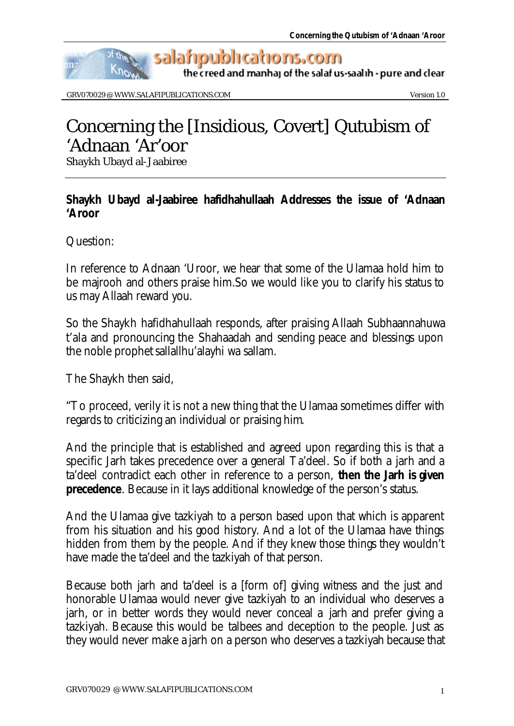

GRV070029 @ WWW.SALAFIPUBLICATIONS.COM WERE CONSERVED ASSESSED.

## Concerning the [Insidious, Covert] Qutubism of 'Adnaan 'Ar'oor

Shaykh Ubayd al-Jaabiree

## **Shaykh Ubayd al-Jaabiree** *hafidhahullaah* **Addresses the issue of 'Adnaan 'Aroor**

Question:

In reference to Adnaan 'Uroor, we hear that some of the Ulamaa hold him to be *majrooh* and others praise him.So we would like you to clarify his status to us may Allaah reward you.

So the Shaykh *hafidhahullaah* responds, after praising Allaah *Subhaannahuwa t'ala* and pronouncing the *Shahaadah* and sending peace and blessings upon the noble prophet *sallallhu'alayhi wa sallam*.

The Shaykh then said,

"To proceed, verily it is not a new thing that the Ulamaa sometimes differ with regards to criticizing an individual or praising him.

And the principle that is established and agreed upon regarding this is that a specific *Jarh* takes precedence over a general *Ta'deel*. So if both a *jarh* and a *ta'deel* contradict each other in reference to a person, **then the** *Jarh* **is given precedence**. Because in it lays additional knowledge of the person's status.

And the Ulamaa give *tazkiyah* to a person based upon that which is apparent from his situation and his good history. And a lot of the Ulamaa have things hidden from them by the people. And if they knew those things they wouldn't have made the ta'deel and the tazkiyah of that person.

Because both jarh and ta'deel is a [form of] giving witness and the just and honorable Ulamaa would never give *tazkiyah* to an individual who deserves a *jarh*, or in better words they would never conceal a *jarh* and prefer giving a tazkiyah. Because this would be *talbees* and deception to the people. Just as they would never make a *jarh* on a person who deserves a *tazkiyah* because that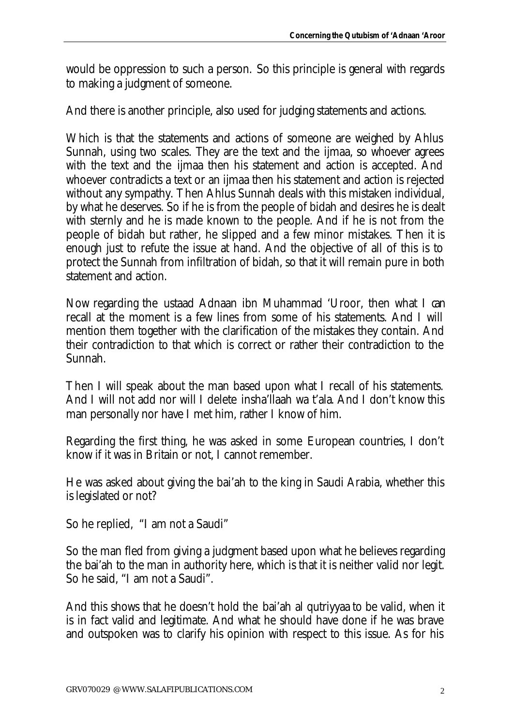would be oppression to such a person. So this principle is general with regards to making a judgment of someone.

And there is another principle, also used for judging statements and actions.

Which is that the statements and actions of someone are weighed by Ahlus Sunnah, using two scales. They are the text and the *ijmaa*, so whoever agrees with the text and the *ijmaa* then his statement and action is accepted. And whoever contradicts a text or an *ijmaa* then his statement and action is rejected without any sympathy. Then Ahlus Sunnah deals with this mistaken individual, by what he deserves. So if he is from the people of bidah and desires he is dealt with sternly and he is made known to the people. And if he is not from the people of bidah but rather, he slipped and a few minor mistakes. Then it is enough just to refute the issue at hand. And the objective of all of this is to protect the Sunnah from infiltration of bidah, so that it will remain pure in both statement and action.

Now regarding the *ustaad* Adnaan ibn Muhammad 'Uroor, then what I can recall at the moment is a few lines from some of his statements. And I will mention them together with the clarification of the mistakes they contain. And their contradiction to that which is correct or rather their contradiction to the Sunnah.

Then I will speak about the man based upon what I recall of his statements. And I will not add nor will I delete *insha'llaah wa t'ala*. And I don't know this man personally nor have I met him, rather I know of him.

Regarding the first thing, he was asked in some European countries, I don't know if it was in Britain or not, I cannot remember.

He was asked about giving the *bai'ah* to the king in Saudi Arabia, whether this is legislated or not?

So he replied, "I am not a Saudi"

So the man fled from giving a judgment based upon what he believes regarding the *bai'ah* to the man in authority here, which is that it is neither valid nor legit. So he said, "I am not a Saudi".

And this shows that he doesn't hold the *bai'ah al qutriyyaa* to be valid, when it is in fact valid and legitimate. And what he should have done if he was brave and outspoken was to clarify his opinion with respect to this issue. As for his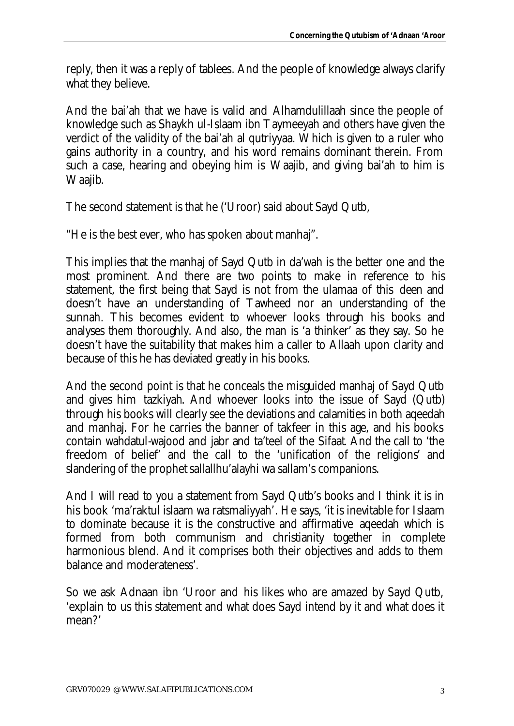reply, then it was a reply of *tablees*. And the people of knowledge always clarify what they believe.

And the *bai'ah* that we have is valid and *Alhamdulillaah* since the people of knowledge such as Shaykh ul-Islaam ibn Taymeeyah and others have given the verdict of the validity of the *bai'ah al qutriyyaa*. Which is given to a ruler who gains authority in a country, and his word remains dominant therein. From such a case, hearing and obeying him is *Waajib*, and giving *bai'ah* to him is *Waajib*.

The second statement is that he ('Uroor) said about Sayd Qutb,

"He is the best ever, who has spoken about manhaj".

This implies that the manhaj of Sayd Qutb in da'wah is the better one and the most prominent. And there are two points to make in reference to his statement, the first being that Sayd is not from the ulamaa of this *deen* and doesn't have an understanding of *Tawheed* nor an understanding of the sunnah. This becomes evident to whoever looks through his books and analyses them thoroughly. And also, the man is 'a thinker' as they say. So he doesn't have the suitability that makes him a caller to Allaah upon clarity and because of this he has deviated greatly in his books.

And the second point is that he conceals the misguided manhaj of Sayd Qutb and gives him *tazkiyah*. And whoever looks into the issue of Sayd (Qutb) through his books will clearly see the deviations and calamities in both *aqeedah* and manhaj. For he carries the banner of takfeer in this age, and his books contain *wahdatul-wajood* and *jabr* and *ta'teel* of the *Sifaat*. And the call to 'the freedom of belief' and the call to the 'unification of the religions' and slandering of the prophet *sallallhu'alayhi wa sallam's* companions.

And I will read to you a statement from Sayd Qutb's books and I think it is in his book '*ma'raktul islaam wa ratsmaliyyah'*. He says, 'it is inevitable for Islaam to dominate because it is the constructive and affirmative *aqeedah* which is formed from both communism and christianity together in complete harmonious blend. And it comprises both their objectives and adds to them balance and moderateness'.

So we ask Adnaan ibn 'Uroor and his likes who are amazed by Sayd Qutb, 'explain to us this statement and what does Sayd intend by it and what does it mean?'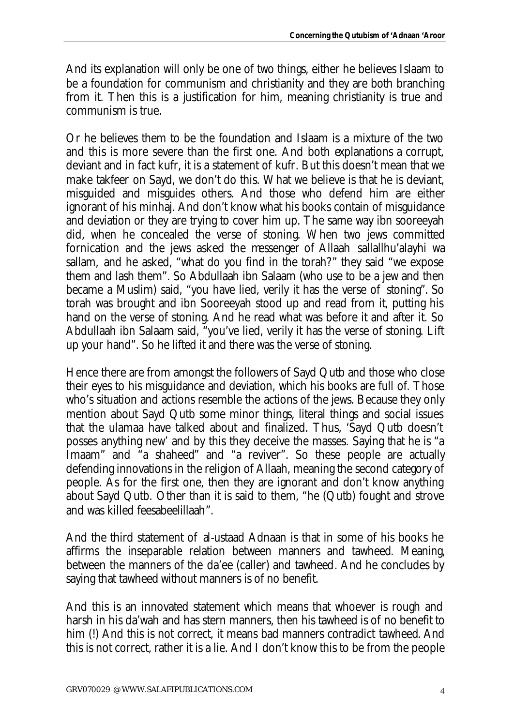And its explanation will only be one of two things, either he believes Islaam to be a foundation for communism and christianity and they are both branching from it. Then this is a justification for him, meaning christianity is true and communism is true.

Or he believes them to be the foundation and Islaam is a mixture of the two and this is more severe than the first one. And both explanations a corrupt, deviant and in fact kufr, it is a statement of *kufr*. But this doesn't mean that we make *takfeer* on Sayd, we don't do this. What we believe is that he is deviant, misguided and misguides others. And those who defend him are either ignorant of his *minhaj*. And don't know what his books contain of misguidance and deviation or they are trying to cover him up. The same way ibn sooreeyah did, when he concealed the verse of stoning. When two jews committed fornication and the jews asked the messenger of Allaah *sallallhu'alayhi wa sallam,* and he asked, "what do you find in the torah?" they said "we expose them and lash them". So Abdullaah ibn Salaam (who use to be a jew and then became a Muslim) said, "you have lied, verily it has the verse of stoning". So torah was brought and ibn Sooreeyah stood up and read from it, putting his hand on the verse of stoning. And he read what was before it and after it. So Abdullaah ibn Salaam said, "you've lied, verily it has the verse of stoning. Lift up your hand". So he lifted it and there was the verse of stoning.

Hence there are from amongst the followers of Sayd Qutb and those who close their eyes to his misguidance and deviation, which his books are full of. Those who's situation and actions resemble the actions of the jews. Because they only mention about Sayd Qutb some minor things, literal things and social issues that the ulamaa have talked about and finalized. Thus, 'Sayd Qutb doesn't posses anything new' and by this they deceive the masses. Saying that he is "a *Imaam*" and "a *shaheed*" and "a reviver". So these people are actually defending innovations in the religion of Allaah, meaning the second category of people. As for the first one, then they are ignorant and don't know anything about Sayd Qutb. Other than it is said to them, "he (Qutb) fought and strove and was killed *feesabeelillaah*".

And the third statement of *al-ustaad* Adnaan is that in some of his books he affirms the inseparable relation between manners and *tawheed*. Meaning, between the manners of the *da'ee* (caller) and *tawheed*. And he concludes by saying that *tawheed* without manners is of no benefit.

And this is an innovated statement which means that whoever is rough and harsh in his *da'wah* and has stern manners, then his *tawheed* is of no benefit to him (!) And this is not correct, it means bad manners contradict *tawheed*. And this is not correct, rather it is a lie. And I don't know this to be from the people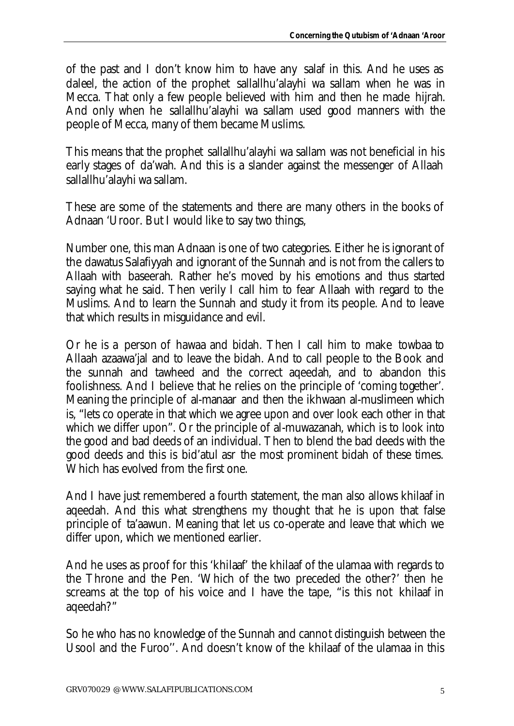of the past and I don't know him to have any *salaf* in this. And he uses as daleel, the action of the prophet *sallallhu'alayhi wa sallam* when he was in Mecca. That only a few people believed with him and then he made *hijrah*. And only when he *sallallhu'alayhi wa sallam* used good manners with the people of Mecca, many of them became Muslims.

This means that the prophet *sallallhu'alayhi wa sallam* was not beneficial in his early stages of *da'wah*. And this is a slander against the messenger of Allaah *sallallhu'alayhi wa sallam*.

These are some of the statements and there are many others in the books of Adnaan 'Uroor. But I would like to say two things,

Number one, this man Adnaan is one of two categories. Either he is ignorant of the *dawatus Salafiyyah* and ignorant of the Sunnah and is not from the callers to Allaah with *baseerah*. Rather he's moved by his emotions and thus started saying what he said. Then verily I call him to fear Allaah with regard to the Muslims. And to learn the Sunnah and study it from its people. And to leave that which results in misguidance and evil.

Or he is a person of *hawaa* and bidah. Then I call him to make *towbaa* to Allaah *azaawa'jal* and to leave the bidah. And to call people to the Book and the sunnah and *tawheed* and the correct *aqeedah*, and to abandon this foolishness. And I believe that he relies on the principle of 'coming together'. Meaning the principle of *al-manaar* and then the ikhwaan al-muslimeen which is, "lets co operate in that which we agree upon and over look each other in that which we differ upon". Or the principle of *al-muwazanah*, which is to look into the good and bad deeds of an individual. Then to blend the bad deeds with the good deeds and this is *bid'atul asr* the most prominent bidah of these times. Which has evolved from the first one.

And I have just remembered a fourth statement, the man also allows *khilaaf* in aqeedah. And this what strengthens my thought that he is upon that false principle of *ta'aawun*. Meaning that let us co-operate and leave that which we differ upon, which we mentioned earlier.

And he uses as proof for this *'khilaaf'* the *khilaaf* of the ulamaa with regards to the Throne and the Pen. 'Which of the two preceded the other?' then he screams at the top of his voice and I have the tape, "is this not *khilaaf* in *aqeedah*?"

So he who has no knowledge of the Sunnah and cannot distinguish between the *Usool* and the *Furoo''*. And doesn't know of the *khilaaf* of the ulamaa in this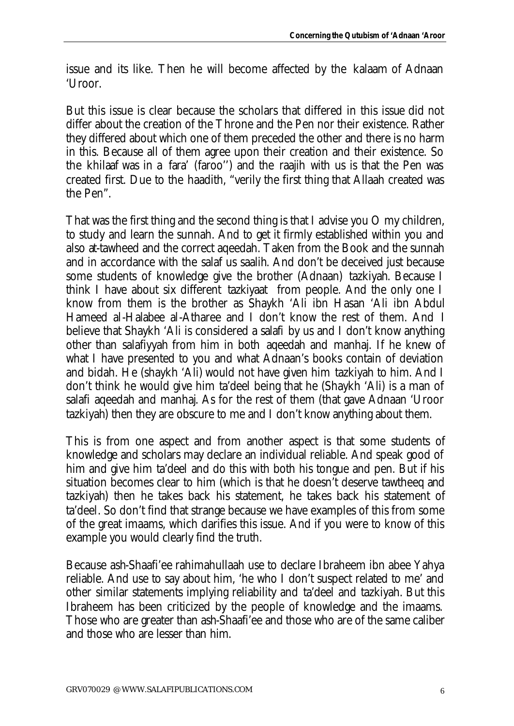issue and its like. Then he will become affected by the *kalaam* of Adnaan 'Uroor.

But this issue is clear because the scholars that differed in this issue did not differ about the creation of the Throne and the Pen nor their existence. Rather they differed about which one of them preceded the other and there is no harm in this. Because all of them agree upon their creation and their existence. So the *khilaaf* was in a *fara'* (*faroo''*) and the *raajih* with us is that the Pen was created first. Due to the *haadith*, "verily the first thing that Allaah created was the Pen".

That was the first thing and the second thing is that I advise you O my children, to study and learn the sunnah. And to get it firmly established within you and also *at-tawheed* and the correct *aqeedah*. Taken from the Book and the sunnah and in accordance with the *salaf us saalih*. And don't be deceived just because some students of knowledge give the brother (Adnaan) *tazkiyah*. Because I think I have about six different *tazkiyaat* from people. And the only one I know from them is the brother as Shaykh 'Ali ibn Hasan 'Ali ibn Abdul Hameed al-Halabee al-Atharee and I don't know the rest of them. And I believe that Shaykh 'Ali is considered a *salafi* by us and I don't know anything other than *salafiyyah* from him in both *aqeedah* and *manhaj*. If he knew of what I have presented to you and what Adnaan's books contain of deviation and bidah. He (shaykh 'Ali) would not have given him *tazkiyah* to him. And I don't think he would give him *ta'deel* being that he (Shaykh 'Ali) is a man of *salafi aqeedah* and *manhaj*. As for the rest of them (that gave Adnaan 'Uroor *tazkiyah*) then they are obscure to me and I don't know anything about them.

This is from one aspect and from another aspect is that some students of knowledge and scholars may declare an individual reliable. And speak good of him and give him *ta'deel* and do this with both his tongue and pen. But if his situation becomes clear to him (which is that he doesn't deserve *tawtheeq* and *tazkiyah*) then he takes back his statement, he takes back his statement of *ta'deel*. So don't find that strange because we have examples of this from some of the great imaams, which darifies this issue. And if you were to know of this example you would clearly find the truth.

Because ash-Shaafi'ee *rahimahullaah* use to declare Ibraheem ibn abee Yahya reliable. And use to say about him, 'he who I don't suspect related to me' and other similar statements implying reliability and *ta'deel* and *tazkiyah*. But this Ibraheem has been criticized by the people of knowledge and the imaams. Those who are greater than ash-Shaafi'ee and those who are of the same caliber and those who are lesser than him.